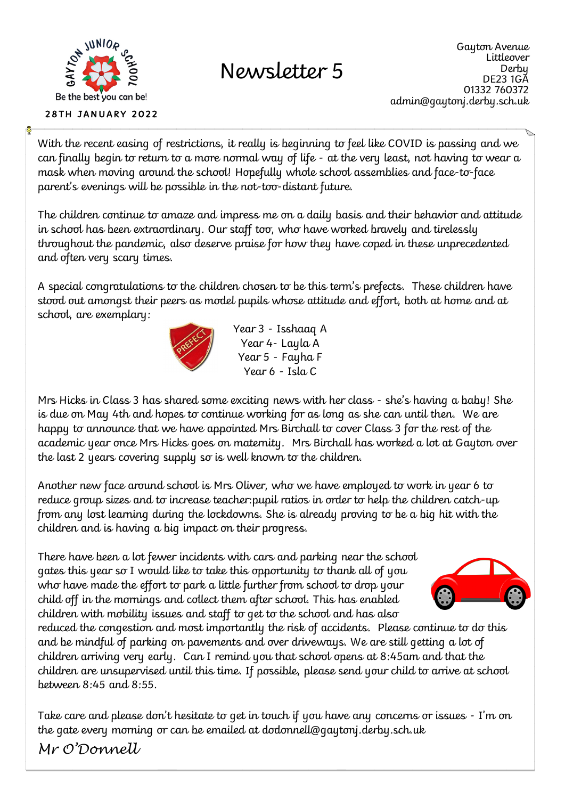

## Newsletter 5

With the recent easing of restrictions, it really is beginning to feel like COVID is passing and we can finally begin to return to a more normal way of life - at the very least, not having to wear a mask when moving around the school! Hopefully whole school assemblies and face-to-face parent's evenings will be possible in the not-too-distant future.

The children continue to amaze and impress me on a daily basis and their behavior and attitude in school has been extraordinary. Our staff too, who have worked bravely and tirelessly throughout the pandemic, also deserve praise for how they have coped in these unprecedented and often very scary times.

A special congratulations to the children chosen to be this term's prefects. These children have stood out amongst their peers as model pupils whose attitude and effort, both at home and at school, are exemplary:



Year 3 - Isshaaq A Year 4- Layla A Year 5 - Fayha F Year 6 - Isla C

Mrs Hicks in Class 3 has shared some exciting news with her class - she's having a baby! She is due on May 4th and hopes to continue working for as long as she can until then. We are happy to announce that we have appointed Mrs Birchall to cover Class 3 for the rest of the academic year once Mrs Hicks goes on maternity. Mrs Birchall has worked a lot at Gayton over the last 2 years covering supply so is well known to the children.

Another new face around school is Mrs Oliver, who we have employed to work in year 6 to reduce group sizes and to increase teacher:pupil ratios in order to help the children catch-up from any lost learning during the lockdowns. She is already proving to be a big hit with the children and is having a big impact on their progress.

There have been a lot fewer incidents with cars and parking near the school gates this year so I would like to take this opportunity to thank all of you who have made the effort to park a little further from school to drop your child off in the mornings and collect them after school. This has enabled children with mobility issues and staff to get to the school and has also



reduced the congestion and most importantly the risk of accidents. Please continue to do this and be mindful of parking on pavements and over driveways. We are still getting a lot of children arriving very early. Can I remind you that school opens at 8:45am and that the children are unsupervised until this time. If possible, please send your child to arrive at school between 8:45 and 8:55.

Take care and please don't hesitate to get in touch if you have any concerns or issues - I'm on the gate every morning or can be emailed at dodonnell@gaytonj.derby.sch.uk

*Mr O'Donnell*